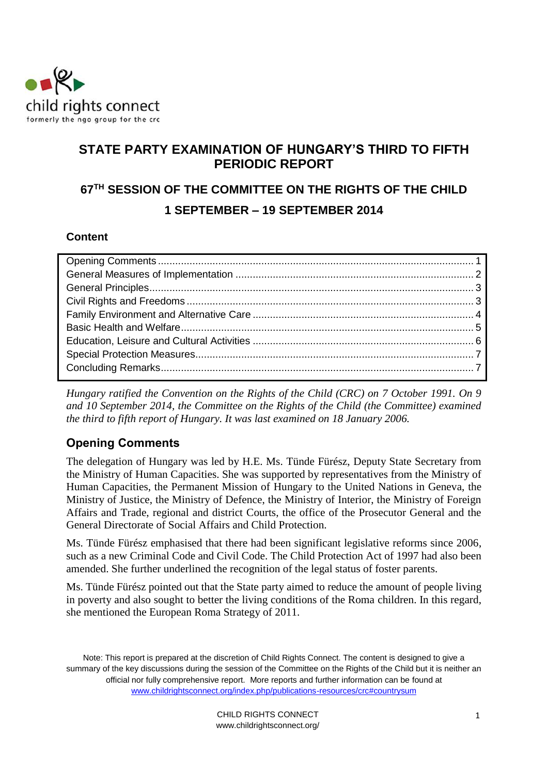

# **STATE PARTY EXAMINATION OF HUNGARY'S THIRD TO FIFTH PERIODIC REPORT**

# **67TH SESSION OF THE COMMITTEE ON THE RIGHTS OF THE CHILD 1 SEPTEMBER – 19 SEPTEMBER 2014**

## **Content**

*Hungary ratified the Convention on the Rights of the Child (CRC) on 7 October 1991. On 9 and 10 September 2014, the Committee on the Rights of the Child (the Committee) examined the third to fifth report of Hungary. It was last examined on 18 January 2006.* 

# <span id="page-0-0"></span>**Opening Comments**

The delegation of Hungary was led by H.E. Ms. Tünde Fürész, Deputy State Secretary from the Ministry of Human Capacities. She was supported by representatives from the Ministry of Human Capacities, the Permanent Mission of Hungary to the United Nations in Geneva, the Ministry of Justice, the Ministry of Defence, the Ministry of Interior, the Ministry of Foreign Affairs and Trade, regional and district Courts, the office of the Prosecutor General and the General Directorate of Social Affairs and Child Protection.

Ms. Tünde Fürész emphasised that there had been significant legislative reforms since 2006, such as a new Criminal Code and Civil Code. The Child Protection Act of 1997 had also been amended. She further underlined the recognition of the legal status of foster parents.

Ms. Tünde Fürész pointed out that the State party aimed to reduce the amount of people living in poverty and also sought to better the living conditions of the Roma children. In this regard, she mentioned the European Roma Strategy of 2011.

Note: This report is prepared at the discretion of Child Rights Connect. The content is designed to give a summary of the key discussions during the session of the Committee on the Rights of the Child but it is neither an official nor fully comprehensive report. More reports and further information can be found at [www.childrightsconnect.org/index.php/publications-resources/crc#countrysum](http://www.childrightsconnect.org/index.php/publications-resources/crc#countrysum)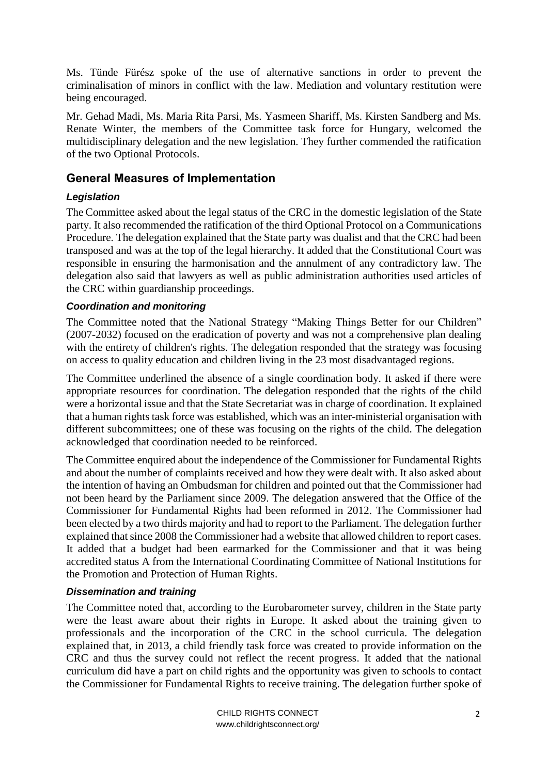Ms. Tünde Fürész spoke of the use of alternative sanctions in order to prevent the criminalisation of minors in conflict with the law. Mediation and voluntary restitution were being encouraged.

Mr. Gehad Madi, Ms. Maria Rita Parsi, Ms. Yasmeen Shariff, Ms. Kirsten Sandberg and Ms. Renate Winter, the members of the Committee task force for Hungary, welcomed the multidisciplinary delegation and the new legislation. They further commended the ratification of the two Optional Protocols.

## <span id="page-1-0"></span>**General Measures of Implementation**

#### *Legislation*

The Committee asked about the legal status of the CRC in the domestic legislation of the State party. It also recommended the ratification of the third Optional Protocol on a Communications Procedure. The delegation explained that the State party was dualist and that the CRC had been transposed and was at the top of the legal hierarchy. It added that the Constitutional Court was responsible in ensuring the harmonisation and the annulment of any contradictory law. The delegation also said that lawyers as well as public administration authorities used articles of the CRC within guardianship proceedings.

#### *Coordination and monitoring*

The Committee noted that the National Strategy "Making Things Better for our Children" (2007-2032) focused on the eradication of poverty and was not a comprehensive plan dealing with the entirety of children's rights. The delegation responded that the strategy was focusing on access to quality education and children living in the 23 most disadvantaged regions.

The Committee underlined the absence of a single coordination body. It asked if there were appropriate resources for coordination. The delegation responded that the rights of the child were a horizontal issue and that the State Secretariat was in charge of coordination. It explained that a human rights task force was established, which was an inter-ministerial organisation with different subcommittees; one of these was focusing on the rights of the child. The delegation acknowledged that coordination needed to be reinforced.

The Committee enquired about the independence of the Commissioner for Fundamental Rights and about the number of complaints received and how they were dealt with. It also asked about the intention of having an Ombudsman for children and pointed out that the Commissioner had not been heard by the Parliament since 2009. The delegation answered that the Office of the Commissioner for Fundamental Rights had been reformed in 2012. The Commissioner had been elected by a two thirds majority and had to report to the Parliament. The delegation further explained that since 2008 the Commissioner had a website that allowed children to report cases. It added that a budget had been earmarked for the Commissioner and that it was being accredited status A from the International Coordinating Committee of National Institutions for the Promotion and Protection of Human Rights.

#### *Dissemination and training*

The Committee noted that, according to the Eurobarometer survey, children in the State party were the least aware about their rights in Europe. It asked about the training given to professionals and the incorporation of the CRC in the school curricula. The delegation explained that, in 2013, a child friendly task force was created to provide information on the CRC and thus the survey could not reflect the recent progress. It added that the national curriculum did have a part on child rights and the opportunity was given to schools to contact the Commissioner for Fundamental Rights to receive training. The delegation further spoke of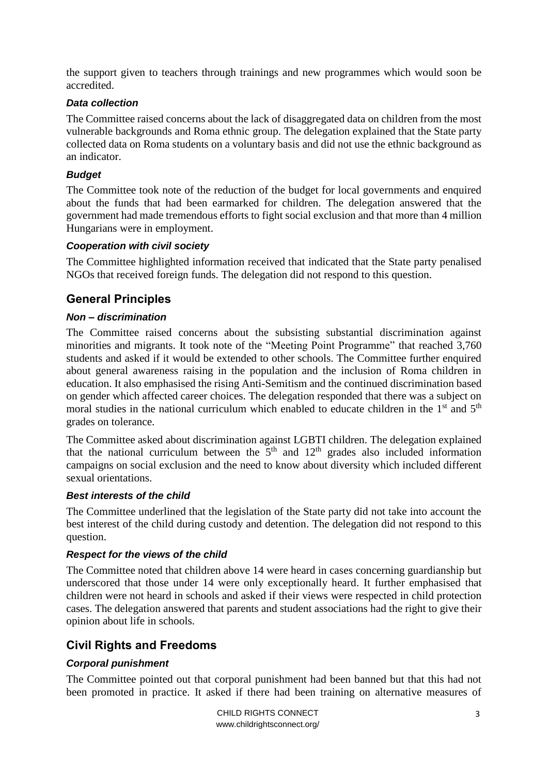the support given to teachers through trainings and new programmes which would soon be accredited.

#### *Data collection*

The Committee raised concerns about the lack of disaggregated data on children from the most vulnerable backgrounds and Roma ethnic group. The delegation explained that the State party collected data on Roma students on a voluntary basis and did not use the ethnic background as an indicator.

#### *Budget*

The Committee took note of the reduction of the budget for local governments and enquired about the funds that had been earmarked for children. The delegation answered that the government had made tremendous efforts to fight social exclusion and that more than 4 million Hungarians were in employment.

#### *Cooperation with civil society*

The Committee highlighted information received that indicated that the State party penalised NGOs that received foreign funds. The delegation did not respond to this question.

# <span id="page-2-0"></span>**General Principles**

#### *Non – discrimination*

The Committee raised concerns about the subsisting substantial discrimination against minorities and migrants. It took note of the "Meeting Point Programme" that reached 3,760 students and asked if it would be extended to other schools. The Committee further enquired about general awareness raising in the population and the inclusion of Roma children in education. It also emphasised the rising Anti-Semitism and the continued discrimination based on gender which affected career choices. The delegation responded that there was a subject on moral studies in the national curriculum which enabled to educate children in the 1<sup>st</sup> and 5<sup>th</sup> grades on tolerance.

The Committee asked about discrimination against LGBTI children. The delegation explained that the national curriculum between the  $5<sup>th</sup>$  and  $12<sup>th</sup>$  grades also included information campaigns on social exclusion and the need to know about diversity which included different sexual orientations.

#### *Best interests of the child*

The Committee underlined that the legislation of the State party did not take into account the best interest of the child during custody and detention. The delegation did not respond to this question.

#### *Respect for the views of the child*

The Committee noted that children above 14 were heard in cases concerning guardianship but underscored that those under 14 were only exceptionally heard. It further emphasised that children were not heard in schools and asked if their views were respected in child protection cases. The delegation answered that parents and student associations had the right to give their opinion about life in schools.

# <span id="page-2-1"></span>**Civil Rights and Freedoms**

## *Corporal punishment*

The Committee pointed out that corporal punishment had been banned but that this had not been promoted in practice. It asked if there had been training on alternative measures of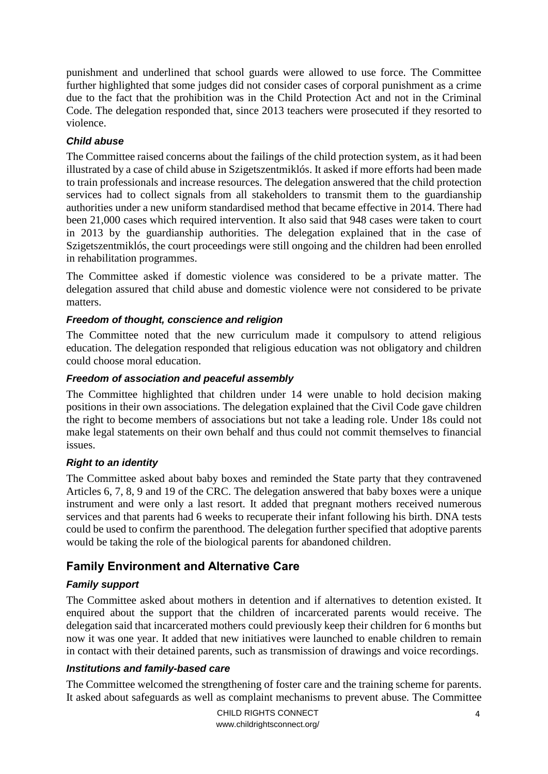punishment and underlined that school guards were allowed to use force. The Committee further highlighted that some judges did not consider cases of corporal punishment as a crime due to the fact that the prohibition was in the Child Protection Act and not in the Criminal Code. The delegation responded that, since 2013 teachers were prosecuted if they resorted to violence.

#### *Child abuse*

The Committee raised concerns about the failings of the child protection system, as it had been illustrated by a case of child abuse in Szigetszentmiklós. It asked if more efforts had been made to train professionals and increase resources. The delegation answered that the child protection services had to collect signals from all stakeholders to transmit them to the guardianship authorities under a new uniform standardised method that became effective in 2014. There had been 21,000 cases which required intervention. It also said that 948 cases were taken to court in 2013 by the guardianship authorities. The delegation explained that in the case of Szigetszentmiklós, the court proceedings were still ongoing and the children had been enrolled in rehabilitation programmes.

The Committee asked if domestic violence was considered to be a private matter. The delegation assured that child abuse and domestic violence were not considered to be private matters.

#### *Freedom of thought, conscience and religion*

The Committee noted that the new curriculum made it compulsory to attend religious education. The delegation responded that religious education was not obligatory and children could choose moral education.

#### *Freedom of association and peaceful assembly*

The Committee highlighted that children under 14 were unable to hold decision making positions in their own associations. The delegation explained that the Civil Code gave children the right to become members of associations but not take a leading role. Under 18s could not make legal statements on their own behalf and thus could not commit themselves to financial issues.

#### *Right to an identity*

The Committee asked about baby boxes and reminded the State party that they contravened Articles 6, 7, 8, 9 and 19 of the CRC. The delegation answered that baby boxes were a unique instrument and were only a last resort. It added that pregnant mothers received numerous services and that parents had 6 weeks to recuperate their infant following his birth. DNA tests could be used to confirm the parenthood. The delegation further specified that adoptive parents would be taking the role of the biological parents for abandoned children.

# <span id="page-3-0"></span>**Family Environment and Alternative Care**

#### *Family support*

The Committee asked about mothers in detention and if alternatives to detention existed. It enquired about the support that the children of incarcerated parents would receive. The delegation said that incarcerated mothers could previously keep their children for 6 months but now it was one year. It added that new initiatives were launched to enable children to remain in contact with their detained parents, such as transmission of drawings and voice recordings.

#### *Institutions and family-based care*

The Committee welcomed the strengthening of foster care and the training scheme for parents. It asked about safeguards as well as complaint mechanisms to prevent abuse. The Committee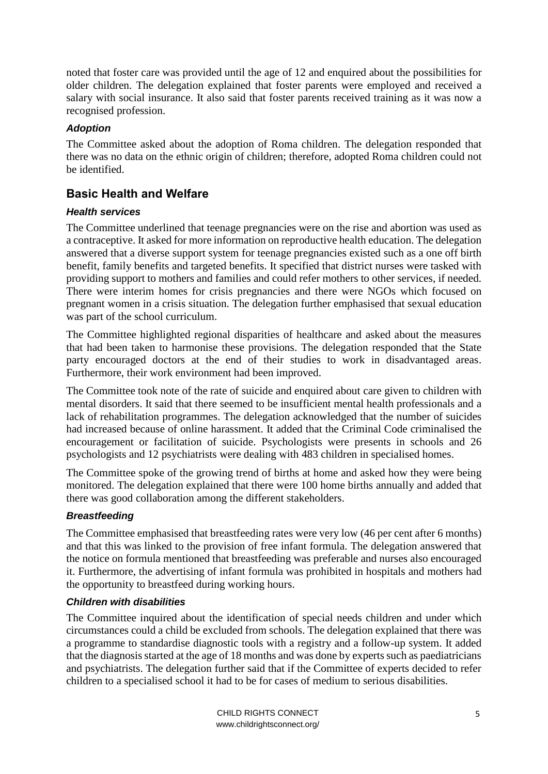noted that foster care was provided until the age of 12 and enquired about the possibilities for older children. The delegation explained that foster parents were employed and received a salary with social insurance. It also said that foster parents received training as it was now a recognised profession.

#### *Adoption*

The Committee asked about the adoption of Roma children. The delegation responded that there was no data on the ethnic origin of children; therefore, adopted Roma children could not be identified.

# <span id="page-4-0"></span>**Basic Health and Welfare**

#### *Health services*

The Committee underlined that teenage pregnancies were on the rise and abortion was used as a contraceptive. It asked for more information on reproductive health education. The delegation answered that a diverse support system for teenage pregnancies existed such as a one off birth benefit, family benefits and targeted benefits. It specified that district nurses were tasked with providing support to mothers and families and could refer mothers to other services, if needed. There were interim homes for crisis pregnancies and there were NGOs which focused on pregnant women in a crisis situation. The delegation further emphasised that sexual education was part of the school curriculum.

The Committee highlighted regional disparities of healthcare and asked about the measures that had been taken to harmonise these provisions. The delegation responded that the State party encouraged doctors at the end of their studies to work in disadvantaged areas. Furthermore, their work environment had been improved.

The Committee took note of the rate of suicide and enquired about care given to children with mental disorders. It said that there seemed to be insufficient mental health professionals and a lack of rehabilitation programmes. The delegation acknowledged that the number of suicides had increased because of online harassment. It added that the Criminal Code criminalised the encouragement or facilitation of suicide. Psychologists were presents in schools and 26 psychologists and 12 psychiatrists were dealing with 483 children in specialised homes.

The Committee spoke of the growing trend of births at home and asked how they were being monitored. The delegation explained that there were 100 home births annually and added that there was good collaboration among the different stakeholders.

#### *Breastfeeding*

The Committee emphasised that breastfeeding rates were very low (46 per cent after 6 months) and that this was linked to the provision of free infant formula. The delegation answered that the notice on formula mentioned that breastfeeding was preferable and nurses also encouraged it. Furthermore, the advertising of infant formula was prohibited in hospitals and mothers had the opportunity to breastfeed during working hours.

#### *Children with disabilities*

The Committee inquired about the identification of special needs children and under which circumstances could a child be excluded from schools. The delegation explained that there was a programme to standardise diagnostic tools with a registry and a follow-up system. It added that the diagnosis started at the age of 18 months and was done by experts such as paediatricians and psychiatrists. The delegation further said that if the Committee of experts decided to refer children to a specialised school it had to be for cases of medium to serious disabilities.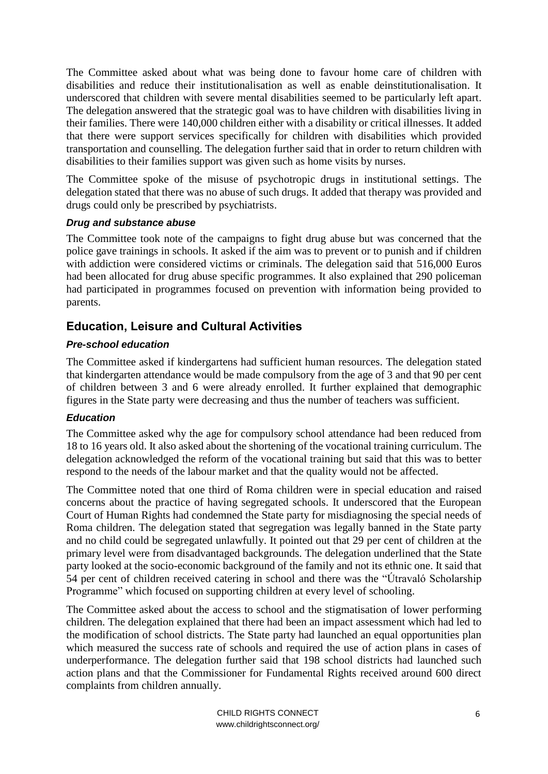The Committee asked about what was being done to favour home care of children with disabilities and reduce their institutionalisation as well as enable deinstitutionalisation. It underscored that children with severe mental disabilities seemed to be particularly left apart. The delegation answered that the strategic goal was to have children with disabilities living in their families. There were 140,000 children either with a disability or critical illnesses. It added that there were support services specifically for children with disabilities which provided transportation and counselling. The delegation further said that in order to return children with disabilities to their families support was given such as home visits by nurses.

The Committee spoke of the misuse of psychotropic drugs in institutional settings. The delegation stated that there was no abuse of such drugs. It added that therapy was provided and drugs could only be prescribed by psychiatrists.

#### *Drug and substance abuse*

The Committee took note of the campaigns to fight drug abuse but was concerned that the police gave trainings in schools. It asked if the aim was to prevent or to punish and if children with addiction were considered victims or criminals. The delegation said that 516,000 Euros had been allocated for drug abuse specific programmes. It also explained that 290 policeman had participated in programmes focused on prevention with information being provided to parents.

# <span id="page-5-0"></span>**Education, Leisure and Cultural Activities**

#### *Pre-school education*

The Committee asked if kindergartens had sufficient human resources. The delegation stated that kindergarten attendance would be made compulsory from the age of 3 and that 90 per cent of children between 3 and 6 were already enrolled. It further explained that demographic figures in the State party were decreasing and thus the number of teachers was sufficient.

#### *Education*

The Committee asked why the age for compulsory school attendance had been reduced from 18 to 16 years old. It also asked about the shortening of the vocational training curriculum. The delegation acknowledged the reform of the vocational training but said that this was to better respond to the needs of the labour market and that the quality would not be affected.

The Committee noted that one third of Roma children were in special education and raised concerns about the practice of having segregated schools. It underscored that the European Court of Human Rights had condemned the State party for misdiagnosing the special needs of Roma children. The delegation stated that segregation was legally banned in the State party and no child could be segregated unlawfully. It pointed out that 29 per cent of children at the primary level were from disadvantaged backgrounds. The delegation underlined that the State party looked at the socio-economic background of the family and not its ethnic one. It said that 54 per cent of children received catering in school and there was the "Útravaló Scholarship Programme" which focused on supporting children at every level of schooling.

The Committee asked about the access to school and the stigmatisation of lower performing children. The delegation explained that there had been an impact assessment which had led to the modification of school districts. The State party had launched an equal opportunities plan which measured the success rate of schools and required the use of action plans in cases of underperformance. The delegation further said that 198 school districts had launched such action plans and that the Commissioner for Fundamental Rights received around 600 direct complaints from children annually.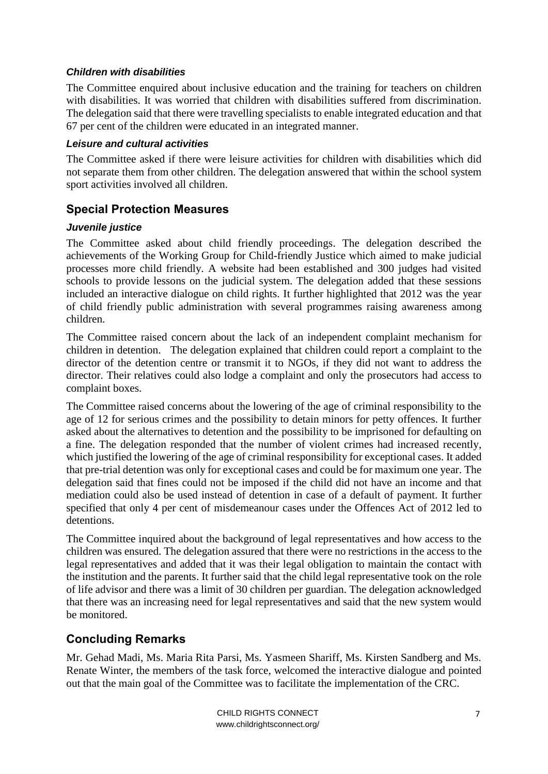#### *Children with disabilities*

The Committee enquired about inclusive education and the training for teachers on children with disabilities. It was worried that children with disabilities suffered from discrimination. The delegation said that there were travelling specialists to enable integrated education and that 67 per cent of the children were educated in an integrated manner.

#### *Leisure and cultural activities*

The Committee asked if there were leisure activities for children with disabilities which did not separate them from other children. The delegation answered that within the school system sport activities involved all children.

# <span id="page-6-0"></span>**Special Protection Measures**

#### *Juvenile justice*

The Committee asked about child friendly proceedings. The delegation described the achievements of the Working Group for Child-friendly Justice which aimed to make judicial processes more child friendly. A website had been established and 300 judges had visited schools to provide lessons on the judicial system. The delegation added that these sessions included an interactive dialogue on child rights. It further highlighted that 2012 was the year of child friendly public administration with several programmes raising awareness among children.

The Committee raised concern about the lack of an independent complaint mechanism for children in detention. The delegation explained that children could report a complaint to the director of the detention centre or transmit it to NGOs, if they did not want to address the director. Their relatives could also lodge a complaint and only the prosecutors had access to complaint boxes.

The Committee raised concerns about the lowering of the age of criminal responsibility to the age of 12 for serious crimes and the possibility to detain minors for petty offences. It further asked about the alternatives to detention and the possibility to be imprisoned for defaulting on a fine. The delegation responded that the number of violent crimes had increased recently, which justified the lowering of the age of criminal responsibility for exceptional cases. It added that pre-trial detention was only for exceptional cases and could be for maximum one year. The delegation said that fines could not be imposed if the child did not have an income and that mediation could also be used instead of detention in case of a default of payment. It further specified that only 4 per cent of misdemeanour cases under the Offences Act of 2012 led to detentions.

The Committee inquired about the background of legal representatives and how access to the children was ensured. The delegation assured that there were no restrictions in the access to the legal representatives and added that it was their legal obligation to maintain the contact with the institution and the parents. It further said that the child legal representative took on the role of life advisor and there was a limit of 30 children per guardian. The delegation acknowledged that there was an increasing need for legal representatives and said that the new system would be monitored.

# **Concluding Remarks**

Mr. Gehad Madi, Ms. Maria Rita Parsi, Ms. Yasmeen Shariff, Ms. Kirsten Sandberg and Ms. Renate Winter, the members of the task force, welcomed the interactive dialogue and pointed out that the main goal of the Committee was to facilitate the implementation of the CRC.